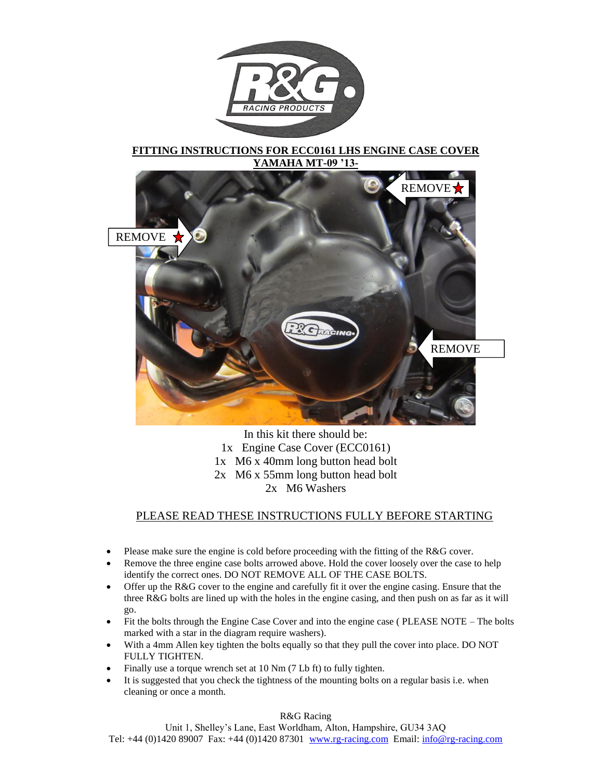

# **FITTING INSTRUCTIONS FOR ECC0161 LHS ENGINE CASE COVER YAMAHA MT-09 '13-**



In this kit there should be: 1x Engine Case Cover (ECC0161) 1x M6 x 40mm long button head bolt 2x M6 x 55mm long button head bolt 2x M6 Washers

# PLEASE READ THESE INSTRUCTIONS FULLY BEFORE STARTING

- Please make sure the engine is cold before proceeding with the fitting of the R&G cover.
- Remove the three engine case bolts arrowed above. Hold the cover loosely over the case to help identify the correct ones. DO NOT REMOVE ALL OF THE CASE BOLTS.
- Offer up the R&G cover to the engine and carefully fit it over the engine casing. Ensure that the three R&G bolts are lined up with the holes in the engine casing, and then push on as far as it will go.
- Fit the bolts through the Engine Case Cover and into the engine case (PLEASE NOTE The bolts marked with a star in the diagram require washers).
- With a 4mm Allen key tighten the bolts equally so that they pull the cover into place. DO NOT FULLY TIGHTEN.
- Finally use a torque wrench set at 10 Nm (7 Lb ft) to fully tighten.
- It is suggested that you check the tightness of the mounting bolts on a regular basis i.e. when cleaning or once a month.

R&G Racing

Unit 1, Shelley's Lane, East Worldham, Alton, Hampshire, GU34 3AQ Tel: +44 (0)1420 89007 Fax: +44 (0)1420 87301 [www.rg-racing.com](http://www.rg-racing.com/) Email[: info@rg-racing.com](mailto:info@rg-racing.com)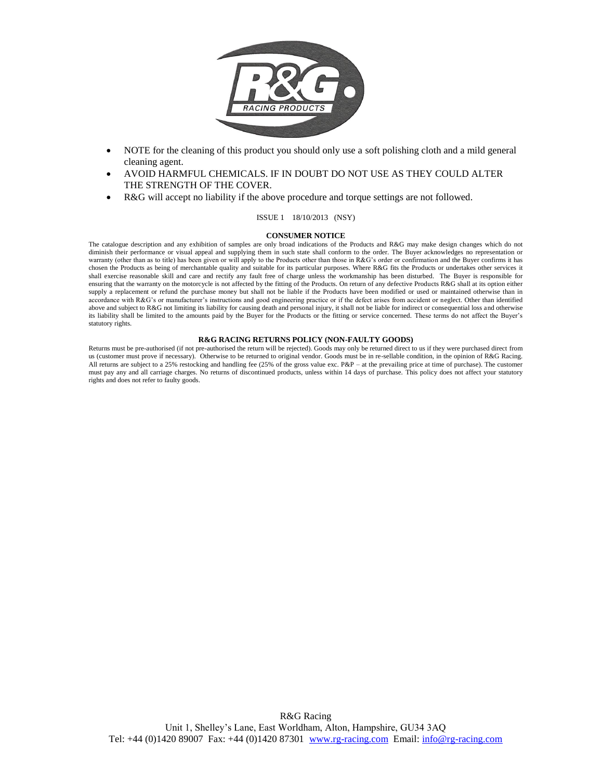

- NOTE for the cleaning of this product you should only use a soft polishing cloth and a mild general cleaning agent.
- AVOID HARMFUL CHEMICALS. IF IN DOUBT DO NOT USE AS THEY COULD ALTER THE STRENGTH OF THE COVER.
- R&G will accept no liability if the above procedure and torque settings are not followed.

## ISSUE 1 18/10/2013 (NSY)

#### **CONSUMER NOTICE**

The catalogue description and any exhibition of samples are only broad indications of the Products and R&G may make design changes which do not diminish their performance or visual appeal and supplying them in such state shall conform to the order. The Buyer acknowledges no representation or warranty (other than as to title) has been given or will apply to the Products other than those in R&G's order or confirmation and the Buyer confirms it has chosen the Products as being of merchantable quality and suitable for its particular purposes. Where R&G fits the Products or undertakes other services it shall exercise reasonable skill and care and rectify any fault free of charge unless the workmanship has been disturbed. The Buyer is responsible for ensuring that the warranty on the motorcycle is not affected by the fitting of the Products. On return of any defective Products R&G shall at its option either supply a replacement or refund the purchase money but shall not be liable if the Products have been modified or used or maintained otherwise than in accordance with R&G's or manufacturer's instructions and good engineering practice or if the defect arises from accident or neglect. Other than identified above and subject to R&G not limiting its liability for causing death and personal injury, it shall not be liable for indirect or consequential loss and otherwise its liability shall be limited to the amounts paid by the Buyer for the Products or the fitting or service concerned. These terms do not affect the Buyer's statutory rights.

#### **R&G RACING RETURNS POLICY (NON-FAULTY GOODS)**

Returns must be pre-authorised (if not pre-authorised the return will be rejected). Goods may only be returned direct to us if they were purchased direct from us (customer must prove if necessary). Otherwise to be returned to original vendor. Goods must be in re-sellable condition, in the opinion of R&G Racing. All returns are subject to a 25% restocking and handling fee (25% of the gross value exc. P&P – at the prevailing price at time of purchase). The customer must pay any and all carriage charges. No returns of discontinued products, unless within 14 days of purchase. This policy does not affect your statutory rights and does not refer to faulty goods.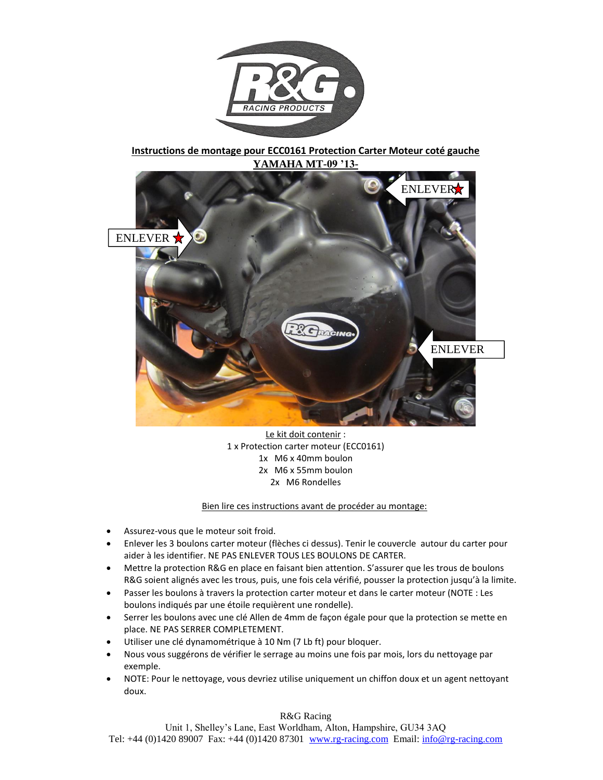

**Instructions de montage pour ECC0161 Protection Carter Moteur coté gauche YAMAHA MT-09 '13-**



Le kit doit contenir : 1 x Protection carter moteur (ECC0161) 1x M6 x 40mm boulon 2x M6 x 55mm boulon 2x M6 Rondelles

Bien lire ces instructions avant de procéder au montage:

- Assurez-vous que le moteur soit froid.
- Enlever les 3 boulons carter moteur (flèches ci dessus). Tenir le couvercle autour du carter pour aider à les identifier. NE PAS ENLEVER TOUS LES BOULONS DE CARTER.
- Mettre la protection R&G en place en faisant bien attention. S'assurer que les trous de boulons R&G soient alignés avec les trous, puis, une fois cela vérifié, pousser la protection jusqu'à la limite.
- Passer les boulons à travers la protection carter moteur et dans le carter moteur (NOTE : Les boulons indiqués par une étoile requièrent une rondelle).
- Serrer les boulons avec une clé Allen de 4mm de façon égale pour que la protection se mette en place. NE PAS SERRER COMPLETEMENT.
- Utiliser une clé dynamométrique à 10 Nm (7 Lb ft) pour bloquer.
- Nous vous suggérons de vérifier le serrage au moins une fois par mois, lors du nettoyage par exemple.
- NOTE: Pour le nettoyage, vous devriez utilise uniquement un chiffon doux et un agent nettoyant doux.

R&G Racing

Unit 1, Shelley's Lane, East Worldham, Alton, Hampshire, GU34 3AQ Tel: +44 (0)1420 89007 Fax: +44 (0)1420 87301 [www.rg-racing.com](http://www.rg-racing.com/) Email[: info@rg-racing.com](mailto:info@rg-racing.com)